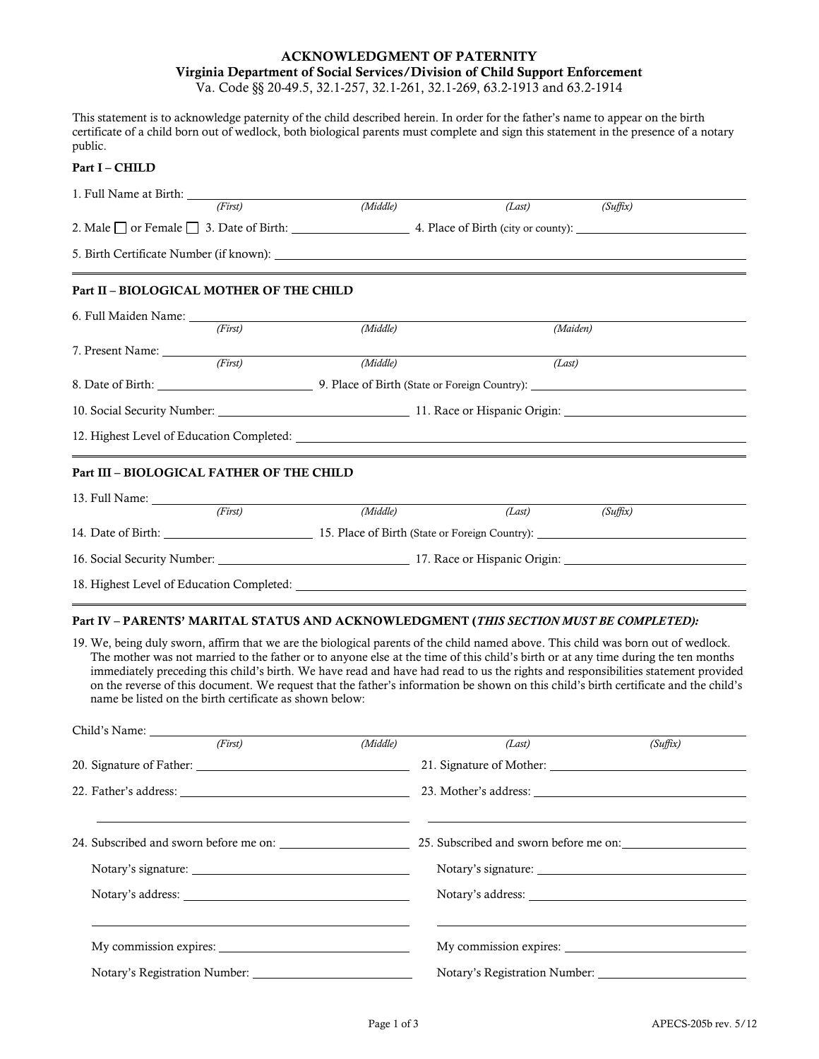## **ACKNOWLEDGMENT OF PATERNITY Virginia Department of Social Services/Division of Child Support Enforcement**

Va. Code §§ 20-49.5, 32.1-257, 32.1-261, 32.1-269, 63.2-1913 and 63.2-1914

This statement is to acknowledge paternity of the child described herein. In order for the father's name to appear on the birth certificate of a child born out of wedlock, both biological parents must complete and sign this statement in the presence of a notary public.

## **Part I – CHILD**

| 1. Full Name at Birth:                                   | (First) | (Middle)                                                                                                                   |          |                                                                                                                |  |  |  |
|----------------------------------------------------------|---------|----------------------------------------------------------------------------------------------------------------------------|----------|----------------------------------------------------------------------------------------------------------------|--|--|--|
|                                                          |         | $(Last)$ $(Suffix)$<br>2. Male $\Box$ or Female $\Box$ 3. Date of Birth: $\Box$ 4. Place of Birth (city or county): $\Box$ |          |                                                                                                                |  |  |  |
|                                                          |         | 5. Birth Certificate Number (if known):                                                                                    |          |                                                                                                                |  |  |  |
| Part II - BIOLOGICAL MOTHER OF THE CHILD                 |         |                                                                                                                            |          |                                                                                                                |  |  |  |
|                                                          |         |                                                                                                                            |          |                                                                                                                |  |  |  |
|                                                          | (First) | (Middle)                                                                                                                   | (Maiden) |                                                                                                                |  |  |  |
|                                                          |         |                                                                                                                            |          |                                                                                                                |  |  |  |
|                                                          | (First) | (Middle)                                                                                                                   | (Last)   |                                                                                                                |  |  |  |
|                                                          |         |                                                                                                                            |          | 8. Date of Birth: 2012 2013 2014 2014 2015 2016 2017 2018 2019 2014 2015 2017 2018 2019 2017 2018 2019 2017 20 |  |  |  |
| 10. Social Security Number: 11. Race or Hispanic Origin: |         |                                                                                                                            |          |                                                                                                                |  |  |  |
|                                                          |         |                                                                                                                            |          |                                                                                                                |  |  |  |
| Part III - BIOLOGICAL FATHER OF THE CHILD                |         |                                                                                                                            |          |                                                                                                                |  |  |  |
|                                                          |         |                                                                                                                            |          |                                                                                                                |  |  |  |
|                                                          | (First) | (Middle)                                                                                                                   | (Last)   | (Suffix)                                                                                                       |  |  |  |
|                                                          |         | 14. Date of Birth: 15. Place of Birth (State or Foreign Country):                                                          |          |                                                                                                                |  |  |  |
|                                                          |         |                                                                                                                            |          |                                                                                                                |  |  |  |
|                                                          |         | 18. Highest Level of Education Completed:                                                                                  |          |                                                                                                                |  |  |  |

## **Part IV – PARENTS' MARITAL STATUS AND ACKNOWLEDGMENT (***THIS SECTION MUST BE COMPLETED):*

19. We, being duly sworn, affirm that we are the biological parents of the child named above. This child was born out of wedlock. The mother was not married to the father or to anyone else at the time of this child's birth or at any time during the ten months immediately preceding this child's birth. We have read and have had read to us the rights and responsibilities statement provided on the reverse of this document. We request that the father's information be shown on this child's birth certificate and the child's name be listed on the birth certificate as shown below:

| Child's Name:                                                                           |          |                                        |          |  |
|-----------------------------------------------------------------------------------------|----------|----------------------------------------|----------|--|
| (First)                                                                                 | (Middle) | (Last)                                 | (Suffix) |  |
|                                                                                         |          |                                        |          |  |
| 22. Father's address: 23. Mother's address: 23. Mother's address: 23. Mother's address: |          |                                        |          |  |
|                                                                                         |          |                                        |          |  |
| 24. Subscribed and sworn before me on:                                                  |          | 25. Subscribed and sworn before me on: |          |  |
|                                                                                         |          |                                        |          |  |
|                                                                                         |          | Notary's address:                      |          |  |
|                                                                                         |          |                                        |          |  |
|                                                                                         |          |                                        |          |  |
| Notary's Registration Number:                                                           |          | Notary's Registration Number:          |          |  |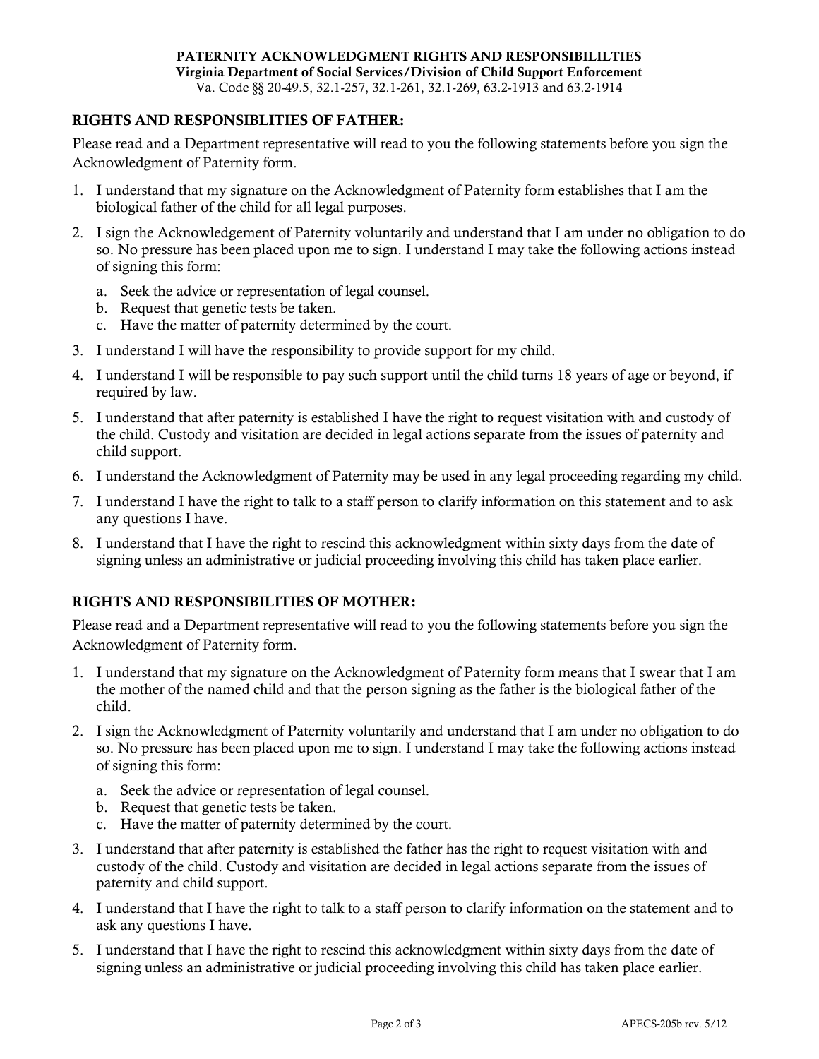## **RIGHTS AND RESPONSIBLITIES OF FATHER:**

Please read and a Department representative will read to you the following statements before you sign the Acknowledgment of Paternity form.

- 1. I understand that my signature on the Acknowledgment of Paternity form establishes that I am the biological father of the child for all legal purposes.
- 2. I sign the Acknowledgement of Paternity voluntarily and understand that I am under no obligation to do so. No pressure has been placed upon me to sign. I understand I may take the following actions instead of signing this form:
	- a. Seek the advice or representation of legal counsel.
	- b. Request that genetic tests be taken.
	- c. Have the matter of paternity determined by the court.
- 3. I understand I will have the responsibility to provide support for my child.
- 4. I understand I will be responsible to pay such support until the child turns 18 years of age or beyond, if required by law.
- 5. I understand that after paternity is established I have the right to request visitation with and custody of the child. Custody and visitation are decided in legal actions separate from the issues of paternity and child support.
- 6. I understand the Acknowledgment of Paternity may be used in any legal proceeding regarding my child.
- 7. I understand I have the right to talk to a staff person to clarify information on this statement and to ask any questions I have.
- 8. I understand that I have the right to rescind this acknowledgment within sixty days from the date of signing unless an administrative or judicial proceeding involving this child has taken place earlier.

# **RIGHTS AND RESPONSIBILITIES OF MOTHER:**

Please read and a Department representative will read to you the following statements before you sign the Acknowledgment of Paternity form.

- 1. I understand that my signature on the Acknowledgment of Paternity form means that I swear that I am the mother of the named child and that the person signing as the father is the biological father of the child.
- 2. I sign the Acknowledgment of Paternity voluntarily and understand that I am under no obligation to do so. No pressure has been placed upon me to sign. I understand I may take the following actions instead of signing this form:
	- a. Seek the advice or representation of legal counsel.
	- b. Request that genetic tests be taken.
	- c. Have the matter of paternity determined by the court.
- 3. I understand that after paternity is established the father has the right to request visitation with and custody of the child. Custody and visitation are decided in legal actions separate from the issues of paternity and child support.
- 4. I understand that I have the right to talk to a staff person to clarify information on the statement and to ask any questions I have.
- 5. I understand that I have the right to rescind this acknowledgment within sixty days from the date of signing unless an administrative or judicial proceeding involving this child has taken place earlier.